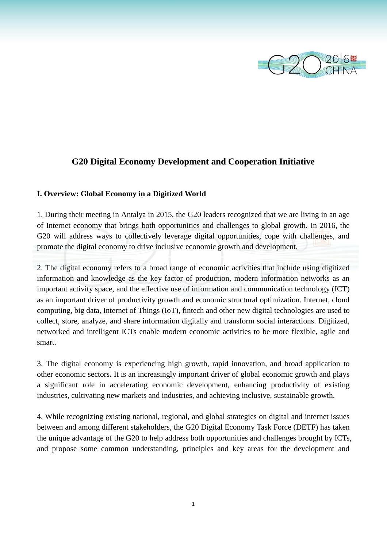

# **G20 Digital Economy Development and Cooperation Initiative**

### **I. Overview: Global Economy in a Digitized World**

1. During their meeting in Antalya in 2015, the G20 leaders recognized that we are living in an age of Internet economy that brings both opportunities and challenges to global growth. In 2016, the G20 will address ways to collectively leverage digital opportunities, cope with challenges, and promote the digital economy to drive inclusive economic growth and development.

2. The digital economy refers to a broad range of economic activities that include using digitized information and knowledge as the key factor of production, modern information networks as an important activity space, and the effective use of information and communication technology (ICT) as an important driver of productivity growth and economic structural optimization. Internet, cloud computing, big data, Internet of Things (IoT), fintech and other new digital technologies are used to collect, store, analyze, and share information digitally and transform social interactions. Digitized, networked and intelligent ICTs enable modern economic activities to be more flexible, agile and smart.

3. The digital economy is experiencing high growth, rapid innovation, and broad application to other economic sectors**.** It is an increasingly important driver of global economic growth and plays a significant role in accelerating economic development, enhancing productivity of existing industries, cultivating new markets and industries, and achieving inclusive, sustainable growth.

4. While recognizing existing national, regional, and global strategies on digital and internet issues between and among different stakeholders, the G20 Digital Economy Task Force (DETF) has taken the unique advantage of the G20 to help address both opportunities and challenges brought by ICTs, and propose some common understanding, principles and key areas for the development and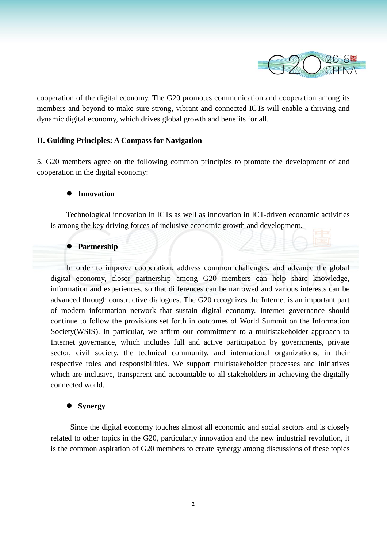

cooperation of the digital economy. The G20 promotes communication and cooperation among its members and beyond to make sure strong, vibrant and connected ICTs will enable a thriving and dynamic digital economy, which drives global growth and benefits for all.

# **II. Guiding Principles: A Compass for Navigation**

5. G20 members agree on the following common principles to promote the development of and cooperation in the digital economy:

### **Innovation**

 Technological innovation in ICTs as well as innovation in ICT-driven economic activities is among the key driving forces of inclusive economic growth and development.

### **Partnership**

 In order to improve cooperation, address common challenges, and advance the global digital economy, closer partnership among G20 members can help share knowledge, information and experiences, so that differences can be narrowed and various interests can be advanced through constructive dialogues. The G20 recognizes the Internet is an important part of modern information network that sustain digital economy. Internet governance should continue to follow the provisions set forth in outcomes of World Summit on the Information Society(WSIS). In particular, we affirm our commitment to a multistakeholder approach to Internet governance, which includes full and active participation by governments, private sector, civil society, the technical community, and international organizations, in their respective roles and responsibilities. We support multistakeholder processes and initiatives which are inclusive, transparent and accountable to all stakeholders in achieving the digitally connected world.

#### **Synergy**

 Since the digital economy touches almost all economic and social sectors and is closely related to other topics in the G20, particularly innovation and the new industrial revolution, it is the common aspiration of G20 members to create synergy among discussions of these topics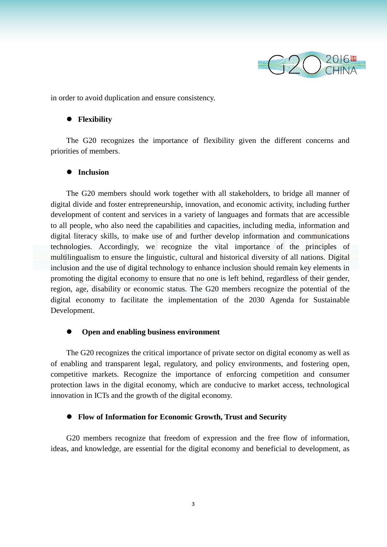

in order to avoid duplication and ensure consistency.

# **Flexibility**

The G20 recognizes the importance of flexibility given the different concerns and priorities of members.

# **Inclusion**

 The G20 members should work together with all stakeholders, to bridge all manner of digital divide and foster entrepreneurship, innovation, and economic activity, including further development of content and services in a variety of languages and formats that are accessible to all people, who also need the capabilities and capacities, including media, information and digital literacy skills, to make use of and further develop information and communications technologies. Accordingly, we recognize the vital importance of the principles of multilingualism to ensure the linguistic, cultural and historical diversity of all nations. Digital inclusion and the use of digital technology to enhance inclusion should remain key elements in promoting the digital economy to ensure that no one is left behind, regardless of their gender, region, age, disability or economic status. The G20 members recognize the potential of the digital economy to facilitate the implementation of the 2030 Agenda for Sustainable Development.

#### **Open and enabling business environment**

 The G20 recognizes the critical importance of private sector on digital economy as well as of enabling and transparent legal, regulatory, and policy environments, and fostering open, competitive markets. Recognize the importance of enforcing competition and consumer protection laws in the digital economy, which are conducive to market access, technological innovation in ICTs and the growth of the digital economy.

#### **Flow of Information for Economic Growth, Trust and Security**

 G20 members recognize that freedom of expression and the free flow of information, ideas, and knowledge, are essential for the digital economy and beneficial to development, as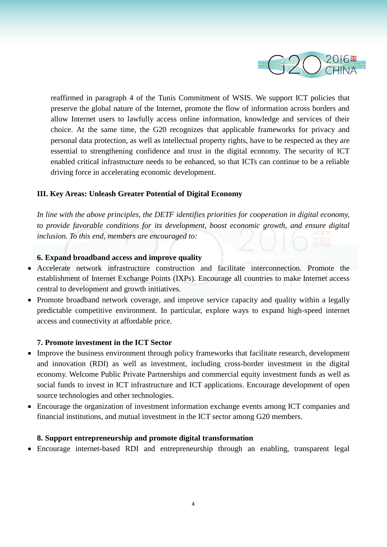

reaffirmed in paragraph 4 of the Tunis Commitment of WSIS. We support ICT policies that preserve the global nature of the Internet, promote the flow of information across borders and allow Internet users to lawfully access online information, knowledge and services of their choice. At the same time, the G20 recognizes that applicable frameworks for privacy and personal data protection, as well as intellectual property rights, have to be respected as they are essential to strengthening confidence and trust in the digital economy. The security of ICT enabled critical infrastructure needs to be enhanced, so that ICTs can continue to be a reliable driving force in accelerating economic development.

# **III. Key Areas: Unleash Greater Potential of Digital Economy**

*In line with the above principles, the DETF identifies priorities for cooperation in digital economy, to provide favorable conditions for its development, boost economic growth, and ensure digital inclusion. To this end, members are encouraged to:*

# **6. Expand broadband access and improve quality**

- Accelerate network infrastructure construction and facilitate interconnection. Promote the establishment of Internet Exchange Points (IXPs). Encourage all countries to make Internet access central to development and growth initiatives.
- Promote broadband network coverage, and improve service capacity and quality within a legally predictable competitive environment. In particular, explore ways to expand high-speed internet access and connectivity at affordable price.

# **7. Promote investment in the ICT Sector**

- Improve the business environment through policy frameworks that facilitate research, development and innovation (RDI) as well as investment, including cross-border investment in the digital economy. Welcome Public Private Partnerships and commercial equity investment funds as well as social funds to invest in ICT infrastructure and ICT applications. Encourage development of open source technologies and other technologies.
- Encourage the organization of investment information exchange events among ICT companies and financial institutions, and mutual investment in the ICT sector among G20 members.

# **8. Support entrepreneurship and promote digital transformation**

Encourage internet-based RDI and entrepreneurship through an enabling, transparent legal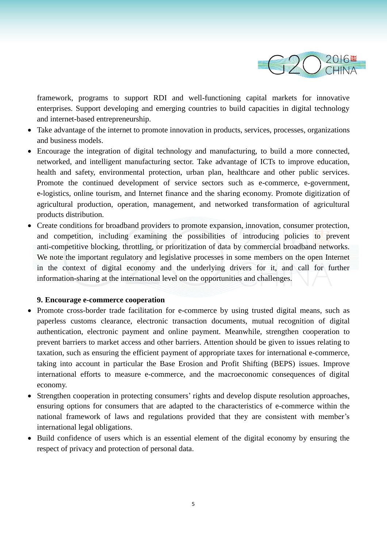

framework, programs to support RDI and well-functioning capital markets for innovative enterprises. Support developing and emerging countries to build capacities in digital technology and internet-based entrepreneurship.

- Take advantage of the internet to promote innovation in products, services, processes, organizations and business models.
- Encourage the integration of digital technology and manufacturing, to build a more connected, networked, and intelligent manufacturing sector. Take advantage of ICTs to improve education, health and safety, environmental protection, urban plan, healthcare and other public services. Promote the continued development of service sectors such as e-commerce, e-government, e-logistics, online tourism, and Internet finance and the sharing economy. Promote digitization of agricultural production, operation, management, and networked transformation of agricultural products distribution.
- Create conditions for broadband providers to promote expansion, innovation, consumer protection, and competition, including examining the possibilities of introducing policies to prevent anti-competitive blocking, throttling, or prioritization of data by commercial broadband networks. We note the important regulatory and legislative processes in some members on the open Internet in the context of digital economy and the underlying drivers for it, and call for further information-sharing at the international level on the opportunities and challenges.

### **9. Encourage e-commerce cooperation**

- Promote cross-border trade facilitation for e-commerce by using trusted digital means, such as paperless customs clearance, electronic transaction documents, mutual recognition of digital authentication, electronic payment and online payment. Meanwhile, strengthen cooperation to prevent barriers to market access and other barriers. Attention should be given to issues relating to taxation, such as ensuring the efficient payment of appropriate taxes for international e-commerce, taking into account in particular the Base Erosion and Profit Shifting (BEPS) issues. Improve international efforts to measure e-commerce, and the macroeconomic consequences of digital economy.
- Strengthen cooperation in protecting consumers' rights and develop dispute resolution approaches, ensuring options for consumers that are adapted to the characteristics of e-commerce within the national framework of laws and regulations provided that they are consistent with member's international legal obligations.
- Build confidence of users which is an essential element of the digital economy by ensuring the respect of privacy and protection of personal data.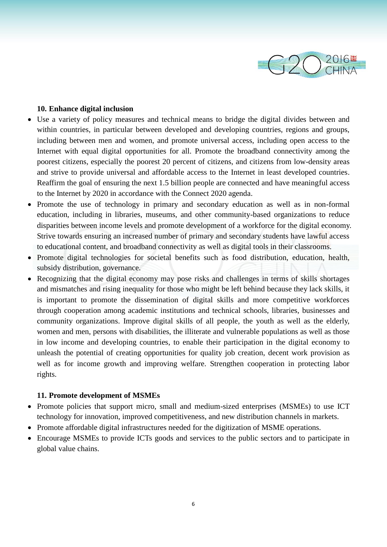

# **10. Enhance digital inclusion**

- Use a variety of policy measures and technical means to bridge the digital divides between and within countries, in particular between developed and developing countries, regions and groups, including between men and women, and promote universal access, including open access to the Internet with equal digital opportunities for all. Promote the broadband connectivity among the poorest citizens, especially the poorest 20 percent of citizens, and citizens from low-density areas and strive to provide universal and affordable access to the Internet in least developed countries. Reaffirm the goal of ensuring the next 1.5 billion people are connected and have meaningful access to the Internet by 2020 in accordance with the Connect 2020 agenda.
- Promote the use of technology in primary and secondary education as well as in non-formal education, including in libraries, museums, and other community-based organizations to reduce disparities between income levels and promote development of a workforce for the digital economy. Strive towards ensuring an increased number of primary and secondary students have lawful access to educational content, and broadband connectivity as well as digital tools in their classrooms.
- Promote digital technologies for societal benefits such as food distribution, education, health, subsidy distribution, governance.
- Recognizing that the digital economy may pose risks and challenges in terms of skills shortages and mismatches and rising inequality for those who might be left behind because they lack skills, it is important to promote the dissemination of digital skills and more competitive workforces through cooperation among academic institutions and technical schools, libraries, businesses and community organizations. Improve digital skills of all people, the youth as well as the elderly, women and men, persons with disabilities, the illiterate and vulnerable populations as well as those in low income and developing countries, to enable their participation in the digital economy to unleash the potential of creating opportunities for quality job creation, decent work provision as well as for income growth and improving welfare. Strengthen cooperation in protecting labor rights.

#### **11. Promote development of MSMEs**

- Promote policies that support micro, small and medium-sized enterprises (MSMEs) to use ICT technology for innovation, improved competitiveness, and new distribution channels in markets.
- Promote affordable digital infrastructures needed for the digitization of MSME operations.
- Encourage MSMEs to provide ICTs goods and services to the public sectors and to participate in global value chains.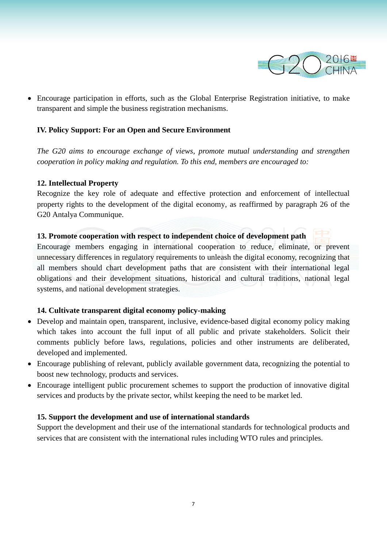

 Encourage participation in efforts, such as the Global Enterprise Registration initiative, to make transparent and simple the business registration mechanisms.

# **IV. Policy Support: For an Open and Secure Environment**

*The G20 aims to encourage exchange of views, promote mutual understanding and strengthen cooperation in policy making and regulation. To this end, members are encouraged to:*

# **12. Intellectual Property**

Recognize the key role of adequate and effective protection and enforcement of intellectual property rights to the development of the digital economy, as reaffirmed by paragraph 26 of the G20 Antalya Communique.

### **13. Promote cooperation with respect to independent choice of development path**

Encourage members engaging in international cooperation to reduce, eliminate, or prevent unnecessary differences in regulatory requirements to unleash the digital economy, recognizing that all members should chart development paths that are consistent with their international legal obligations and their development situations, historical and cultural traditions, national legal systems, and national development strategies.

# **14. Cultivate transparent digital economy policy-making**

- Develop and maintain open, transparent, inclusive, evidence-based digital economy policy making which takes into account the full input of all public and private stakeholders. Solicit their comments publicly before laws, regulations, policies and other instruments are deliberated, developed and implemented.
- Encourage publishing of relevant, publicly available government data, recognizing the potential to boost new technology, products and services.
- Encourage intelligent public procurement schemes to support the production of innovative digital services and products by the private sector, whilst keeping the need to be market led.

# **15. Support the development and use of international standards**

Support the development and their use of the international standards for technological products and services that are consistent with the international rules including WTO rules and principles.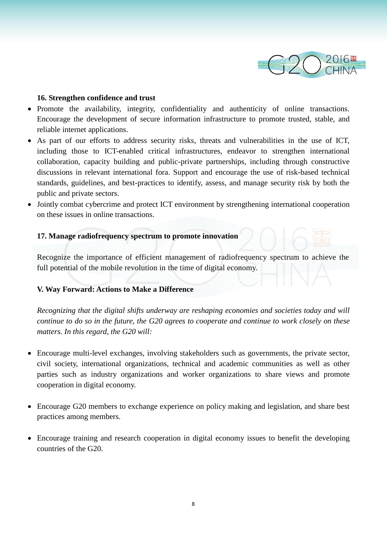

# **16. Strengthen confidence and trust**

- Promote the availability, integrity, confidentiality and authenticity of online transactions. Encourage the development of secure information infrastructure to promote trusted, stable, and reliable internet applications.
- As part of our efforts to address security risks, threats and vulnerabilities in the use of ICT, including those to ICT-enabled critical infrastructures, endeavor to strengthen international collaboration, capacity building and public-private partnerships, including through constructive discussions in relevant international fora. Support and encourage the use of risk-based technical standards, guidelines, and best-practices to identify, assess, and manage security risk by both the public and private sectors.
- Jointly combat cybercrime and protect ICT environment by strengthening international cooperation on these issues in online transactions.

# **17. Manage radiofrequency spectrum to promote innovation**

Recognize the importance of efficient management of radiofrequency spectrum to achieve the full potential of the mobile revolution in the time of digital economy.

# **V. Way Forward: Actions to Make a Difference**

*Recognizing that the digital shifts underway are reshaping economies and societies today and will continue to do so in the future, the G20 agrees to cooperate and continue to work closely on these matters. In this regard, the G20 will:*

- Encourage multi-level exchanges, involving stakeholders such as governments, the private sector, civil society, international organizations, technical and academic communities as well as other parties such as industry organizations and worker organizations to share views and promote cooperation in digital economy.
- Encourage G20 members to exchange experience on policy making and legislation, and share best practices among members.
- Encourage training and research cooperation in digital economy issues to benefit the developing countries of the G20.